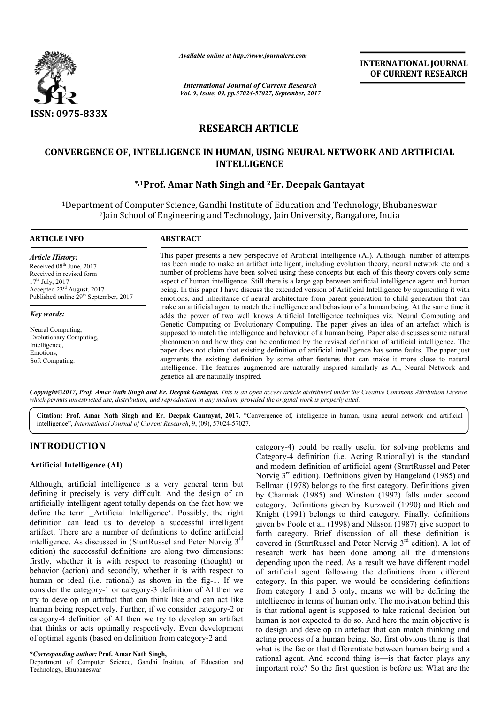

*Available online at http://www.journal http://www.journalcra.com*

*International Journal of Current Research Vol. 9, Issue, 09, pp.57024-57027, September, 2017* **INTERNATIONAL JOURNAL OF CURRENT RESEARCH** 

# **RESEARCH ARTICLE**

# **CONVERGENCE OF, INTELLIGENCE IN HUMAN, USING NEURAL NETWORK AND ARTIFICIAL CONVERGENCE Er. Deepak GantayatINTELLIGENCE**

# **\*,1Prof. Amar Nath Singh Prof. and 2Er. Deepak Gantayat**

<sup>1</sup>Department of Computer Science, Gandhi Institute of Education and Technology, Bhubaneswar <sup>2</sup>Jain School of Engineering and Technology, Jain University, Bangalore, India

| <b>ARTICLE INFO</b>                                                                                                                                                                                      | <b>ABSTRACT</b>                                                                                                                                                                                                                                                                                                                                                                                                                                                                                                                                                                                                                                                                                                                                                                                                                                                                |  |
|----------------------------------------------------------------------------------------------------------------------------------------------------------------------------------------------------------|--------------------------------------------------------------------------------------------------------------------------------------------------------------------------------------------------------------------------------------------------------------------------------------------------------------------------------------------------------------------------------------------------------------------------------------------------------------------------------------------------------------------------------------------------------------------------------------------------------------------------------------------------------------------------------------------------------------------------------------------------------------------------------------------------------------------------------------------------------------------------------|--|
| Article History:<br>Received 08 <sup>th</sup> June, 2017<br>Received in revised form<br>$17th$ July, 2017<br>Accepted 23 <sup>rd</sup> August, 2017<br>Published online 29 <sup>th</sup> September, 2017 | This paper presents a new perspective of Artificial Intelligence (AI). Although, number of attempts<br>has been made to make an artifact intelligent, including evolution theory, neural network etc and a<br>number of problems have been solved using these concepts but each of this theory covers only some<br>aspect of human intelligence. Still there is a large gap between artificial intelligence agent and human<br>being. In this paper I have discuss the extended version of Artificial Intelligence by augmenting it with<br>emotions, and inheritance of neural architecture from parent generation to child generation that can                                                                                                                                                                                                                               |  |
| Key words:<br>Neural Computing.<br><b>Evolutionary Computing,</b><br>Intelligence,<br>Emotions,<br>Soft Computing.                                                                                       | make an artificial agent to match the intelligence and behaviour of a human being. At the same time it<br>adds the power of two well knows Artificial Intelligence techniques viz. Neural Computing and<br>Genetic Computing or Evolutionary Computing. The paper gives an idea of an artefact which is<br>supposed to match the intelligence and behaviour of a human being. Paper also discusses some natural<br>phenomenon and how they can be confirmed by the revised definition of artificial intelligence. The<br>paper does not claim that existing definition of artificial intelligence has some faults. The paper just<br>augments the existing definition by some other features that can make it more close to natural<br>intelligence. The features augmented are naturally inspired similarly as AI, Neural Network and<br>genetics all are naturally inspired. |  |

*Copyright©2017, Prof. Amar Nath Singh and Er. Deepak Gantayat Gantayat. This is an open access article distributed under the Creative Commons Att Attribution License,*  which permits unrestricted use, distribution, and reproduction in any medium, provided the original work is properly cited.

Citation: Prof. Amar Nath Singh and Er. Deepak Gantayat, 2017. "Convergence of, intelligence in human, using neural network and artificial intelligence", *International Journal of Current Research* , 9, (09), 57024-57027.

# **INTRODUCTION**

# **Artificial Intelligence (AI)**

Although, artificial intelligence is a very general term but defining it precisely is very difficult. And the design of an artificially intelligent agent totally depends on the fact how we define the term \_Artificial Intelligence'. Possibly, the right definition can lead us to develop a successful intelligent artifact. There are a number of definitions to define artificial intelligence. As discussed in (SturtRussel and Peter Norvig 3<sup>rd</sup> edition) the successful definitions are along two dimensions: firstly, whether it is with respect to reasoning (thought) or behavior (action) and secondly, whether it is with respect to human or ideal (i.e. rational) as shown in the fig-1. If we consider the category-1 or category-3 definition of AI then we try to develop an artifact that can think like and can act like human being respectively. Further, if we consider category-2 or category-4 definition of AI then we try to develop an artifact that thinks or acts optimally respectively. Even development of optimal agents (based on definition from category nition can lead us to develop a successful intelligent<br>fact. There are a number of definitions to define artificial<br>lligence. As discussed in (SturtRussel and Peter Norvig 3<sup>rd</sup> 3 definition of AI then we<br>hink like and can act like<br>f we consider category-2 or 4 definition of AI then we try to develop an art<br>ss or acts optimally respectively. Even developr<br>il agents (based on definition from category-2 and

category-4) could be really useful for solving problems and Category-4 definition (i.e. Acting Rationally) is the standard category-4) could be really useful for solving problems and Category-4 definition (i.e. Acting Rationally) is the standard and modern definition of artificial agent (SturtRussel and Peter) Norvig  $3<sup>rd</sup>$  edition). Definitions given by Haugeland (1985) and Bellman (1978) belongs to the first category. Definitions given Bellman (1978) belongs to the first category. Definitions given<br>by Charniak (1985) and Winston (1992) falls under second category. Definitions given by Kurzweil (1990) and Rich and Knight (1991) belongs to third category. Finally, definitions given by Poole et al. (1998) and Nilsson (1987) give support to forth category. Brief discussion of all these definition is covered in (SturtRussel and Peter Norvig 3<sup>rd</sup> edition). A lot of research work has been done among all the dimensions depending upon the need. As a result we have different model of artificial agent following the definitions from different category. In this paper, we would be considering definitions from category 1 and 3 only, means we will be defining the intelligence in terms of human only. The motivation behind this is that rational agent is supposed to take rational decision but human is not expected to do so. And here the main objective is to design and develop an artefact that can match thinking and acting process of a human being. So, first obvious thing is that what is the factor that differentiate between human being and a rational agent. And second thing is—is that factor plays any important role? So the first question is before us: What are the has been done among all the dimensions and upon the need. As a result we have different model icial agent following the definitions from different w. In this paper, we would be considering definitions the every 1 and 3 onl **INTERNATIONAL JOURNAL OF CURRENT RESEARCH**<br> **OF CURRENT RESEARCH**<br> **OF CURRENT RESEARCH**<br> **CONVERT AND ARTIFICIAL**<br> **CONVERT AND ARTIFICIAL**<br> **CONVERT AND ARTIFICIAL**<br> **CONVERT AND ARTIFICIAL**<br> **CONVERT AND ARTIFICIAL**<br>

**<sup>\*</sup>***Corresponding author:* **Prof. Amar Nath Singh,** 

Department of Computer Science, Gandhi Institute of Education and Technology, Bhubaneswar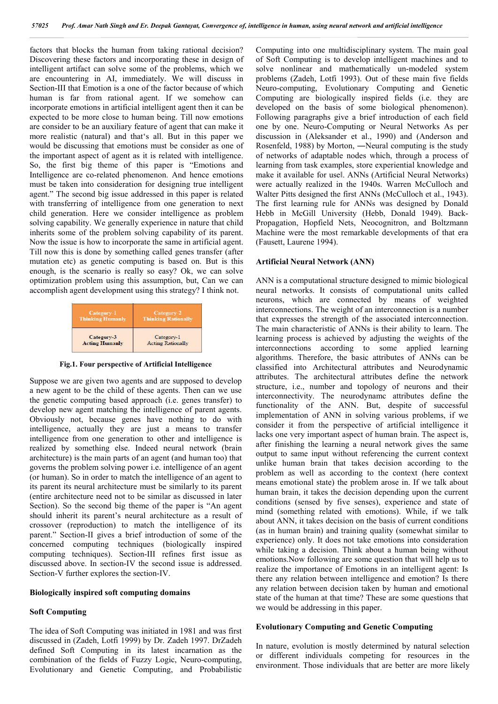factors that blocks the human from taking rational decision? Discovering these factors and incorporating these in design of intelligent artifact can solve some of the problems, which we are encountering in AI, immediately. We will discuss in Section-III that Emotion is a one of the factor because of which human is far from rational agent. If we somehow can incorporate emotions in artificial intelligent agent then it can be expected to be more close to human being. Till now emotions are consider to be an auxiliary feature of agent that can make it more realistic (natural) and that's all. But in this paper we would be discussing that emotions must be consider as one of the important aspect of agent as it is related with intelligence. So, the first big theme of this paper is "Emotions and Intelligence are co-related phenomenon. And hence emotions must be taken into consideration for designing true intelligent agent." The second big issue addressed in this paper is related with transferring of intelligence from one generation to next child generation. Here we consider intelligence as problem solving capability. We generally experience in nature that child inherits some of the problem solving capability of its parent. Now the issue is how to incorporate the same in artificial agent. Till now this is done by something called genes transfer (after mutation etc) as genetic computing is based on. But is this enough, is the scenario is really so easy? Ok, we can solve optimization problem using this assumption, but, Can we can accomplish agent development using this strategy? I think not.

| Category-1              | Category-2                 |
|-------------------------|----------------------------|
| <b>Thinking Humanly</b> | <b>Thinking Rationally</b> |
| Category-3              | Category-1                 |
| <b>Acting Humanly</b>   | <b>Acting Rationally</b>   |

**Fig.1. Four perspective of Artificial Intelligence**

Suppose we are given two agents and are supposed to develop a new agent to be the child of these agents. Then can we use the genetic computing based approach (i.e. genes transfer) to develop new agent matching the intelligence of parent agents. Obviously not, because genes have nothing to do with intelligence, actually they are just a means to transfer intelligence from one generation to other and intelligence is realized by something else. Indeed neural network (brain architecture) is the main parts of an agent (and human too) that governs the problem solving power i.e. intelligence of an agent (or human). So in order to match the intelligence of an agent to its parent its neural architecture must be similarly to its parent (entire architecture need not to be similar as discussed in later Section). So the second big theme of the paper is "An agent should inherit its parent's neural architecture as a result of crossover (reproduction) to match the intelligence of its parent." Section-II gives a brief introduction of some of the concerned computing techniques (biologically inspired computing techniques). Section-III refines first issue as discussed above. In section-IV the second issue is addressed. Section-V further explores the section-IV.

#### **Biologically inspired soft computing domains**

## **Soft Computing**

The idea of Soft Computing was initiated in 1981 and was first discussed in (Zadeh, Lotfi 1999) by Dr. Zadeh 1997. DrZadeh defined Soft Computing in its latest incarnation as the combination of the fields of Fuzzy Logic, Neuro-computing, Evolutionary and Genetic Computing, and Probabilistic

Computing into one multidisciplinary system. The main goal of Soft Computing is to develop intelligent machines and to solve nonlinear and mathematically un-modeled system problems (Zadeh, Lotfi 1993). Out of these main five fields Neuro-computing, Evolutionary Computing and Genetic Computing are biologically inspired fields (i.e. they are developed on the basis of some biological phenomenon). Following paragraphs give a brief introduction of each field one by one. Neuro-Computing or Neural Networks As per discussion in (Aleksander et al., 1990) and (Anderson and Rosenfeld, 1988) by Morton, ―Neural computing is the study of networks of adaptable nodes which, through a process of learning from task examples, store experiential knowledge and make it available for use‖. ANNs (Artificial Neural Networks) were actually realized in the 1940s. Warren McCulloch and Walter Pitts designed the first ANNs (McCulloch et al., 1943). The first learning rule for ANNs was designed by Donald Hebb in McGill University (Hebb, Donald 1949). Back-Propagation, Hopfield Nets, Neocognitron, and Boltzmann Machine were the most remarkable developments of that era (Fausett, Laurene 1994).

#### **Artificial Neural Network (ANN)**

ANN is a computational structure designed to mimic biological neural networks. It consists of computational units called neurons, which are connected by means of weighted interconnections. The weight of an interconnection is a number that expresses the strength of the associated interconnection. The main characteristic of ANNs is their ability to learn. The learning process is achieved by adjusting the weights of the interconnections according to some applied learning algorithms. Therefore, the basic attributes of ANNs can be classified into Architectural attributes and Neurodynamic attributes. The architectural attributes define the network structure, i.e., number and topology of neurons and their interconnectivity. The neurodynamc attributes define the functionality of the ANN. But, despite of successful implementation of ANN in solving various problems, if we consider it from the perspective of artificial intelligence it lacks one very important aspect of human brain. The aspect is, after finishing the learning a neural network gives the same output to same input without referencing the current context unlike human brain that takes decision according to the problem as well as according to the context (here context means emotional state) the problem arose in. If we talk about human brain, it takes the decision depending upon the current conditions (sensed by five senses), experience and state of mind (something related with emotions). While, if we talk about ANN, it takes decision on the basis of current conditions (as in human brain) and training quality (somewhat similar to experience) only. It does not take emotions into consideration while taking a decision. Think about a human being without emotions.Now following are some question that will help us to realize the importance of Emotions in an intelligent agent: Is there any relation between intelligence and emotion? Is there any relation between decision taken by human and emotional state of the human at that time? These are some questions that we would be addressing in this paper.

# **Evolutionary Computing and Genetic Computing**

In nature, evolution is mostly determined by natural selection or different individuals competing for resources in the environment. Those individuals that are better are more likely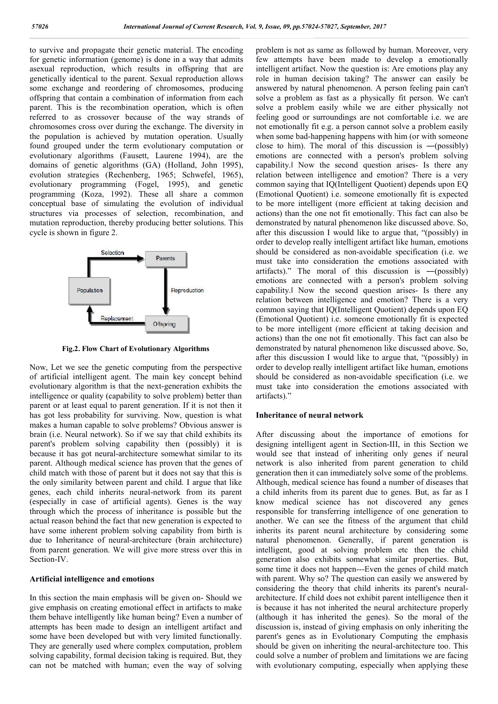to survive and propagate their genetic material. The encoding for genetic information (genome) is done in a way that admits asexual reproduction, which results in offspring that are genetically identical to the parent. Sexual reproduction allows some exchange and reordering of chromosomes, producing offspring that contain a combination of information from each parent. This is the recombination operation, which is often referred to as crossover because of the way strands of chromosomes cross over during the exchange. The diversity in the population is achieved by mutation operation. Usually found grouped under the term evolutionary computation or evolutionary algorithms (Fausett, Laurene 1994), are the domains of genetic algorithms (GA) (Holland, John 1995), evolution strategies (Rechenberg, 1965; Schwefel, 1965), evolutionary programming (Fogel, 1995), and genetic programming (Koza, 1992). These all share a common conceptual base of simulating the evolution of individual structures via processes of selection, recombination, and mutation reproduction, thereby producing better solutions. This cycle is shown in figure 2.



**Fig.2. Flow Chart of Evolutionary Algorithms**

Now, Let we see the genetic computing from the perspective of artificial intelligent agent. The main key concept behind evolutionary algorithm is that the next-generation exhibits the intelligence or quality (capability to solve problem) better than parent or at least equal to parent generation. If it is not then it has got less probability for surviving. Now, question is what makes a human capable to solve problems? Obvious answer is brain (i.e. Neural network). So if we say that child exhibits its parent's problem solving capability then (possibly) it is because it has got neural-architecture somewhat similar to its parent. Although medical science has proven that the genes of child match with those of parent but it does not say that this is the only similarity between parent and child. I argue that like genes, each child inherits neural-network from its parent (especially in case of artificial agents). Genes is the way through which the process of inheritance is possible but the actual reason behind the fact that new generation is expected to have some inherent problem solving capability from birth is due to Inheritance of neural-architecture (brain architecture) from parent generation. We will give more stress over this in Section-IV.

### **Artificial intelligence and emotions**

In this section the main emphasis will be given on- Should we give emphasis on creating emotional effect in artifacts to make them behave intelligently like human being? Even a number of attempts has been made to design an intelligent artifact and some have been developed but with very limited functionally. They are generally used where complex computation, problem solving capability, formal decision taking is required. But, they can not be matched with human; even the way of solving problem is not as same as followed by human. Moreover, very few attempts have been made to develop a emotionally intelligent artifact. Now the question is: Are emotions play any role in human decision taking? The answer can easily be answered by natural phenomenon. A person feeling pain can't solve a problem as fast as a physically fit person. We can't solve a problem easily while we are either physically not feeling good or surroundings are not comfortable i.e. we are not emotionally fit e.g. a person cannot solve a problem easily when some bad-happening happens with him (or with someone close to him). The moral of this discussion is ―(possibly) emotions are connected with a person's problem solving capability.‖ Now the second question arises- Is there any relation between intelligence and emotion? There is a very common saying that IQ(Intelligent Quotient) depends upon EQ (Emotional Quotient) i.e. someone emotionally fit is expected to be more intelligent (more efficient at taking decision and actions) than the one not fit emotionally. This fact can also be demonstrated by natural phenomenon like discussed above. So, after this discussion I would like to argue that, "(possibly) in order to develop really intelligent artifact like human, emotions should be considered as non-avoidable specification (i.e. we must take into consideration the emotions associated with artifacts)." The moral of this discussion is  $-($ possibly $)$ emotions are connected with a person's problem solving capability.‖ Now the second question arises- Is there any relation between intelligence and emotion? There is a very common saying that IQ(Intelligent Quotient) depends upon EQ (Emotional Quotient) i.e. someone emotionally fit is expected to be more intelligent (more efficient at taking decision and actions) than the one not fit emotionally. This fact can also be demonstrated by natural phenomenon like discussed above. So, after this discussion I would like to argue that, "(possibly) in order to develop really intelligent artifact like human, emotions should be considered as non-avoidable specification (i.e. we must take into consideration the emotions associated with artifacts)."

## **Inheritance of neural network**

After discussing about the importance of emotions for designing intelligent agent in Section-III, in this Section we would see that instead of inheriting only genes if neural network is also inherited from parent generation to child generation then it can immediately solve some of the problems. Although, medical science has found a number of diseases that a child inherits from its parent due to genes. But, as far as I know medical science has not discovered any genes responsible for transferring intelligence of one generation to another. We can see the fitness of the argument that child inherits its parent neural architecture by considering some natural phenomenon. Generally, if parent generation is intelligent, good at solving problem etc then the child generation also exhibits somewhat similar properties. But, some time it does not happen---Even the genes of child match with parent. Why so? The question can easily we answered by considering the theory that child inherits its parent's neuralarchitecture. If child does not exhibit parent intelligence then it is because it has not inherited the neural architecture properly (although it has inherited the genes). So the moral of the discussion is, instead of giving emphasis on only inheriting the parent's genes as in Evolutionary Computing the emphasis should be given on inheriting the neural-architecture too. This could solve a number of problem and limitations we are facing with evolutionary computing, especially when applying these